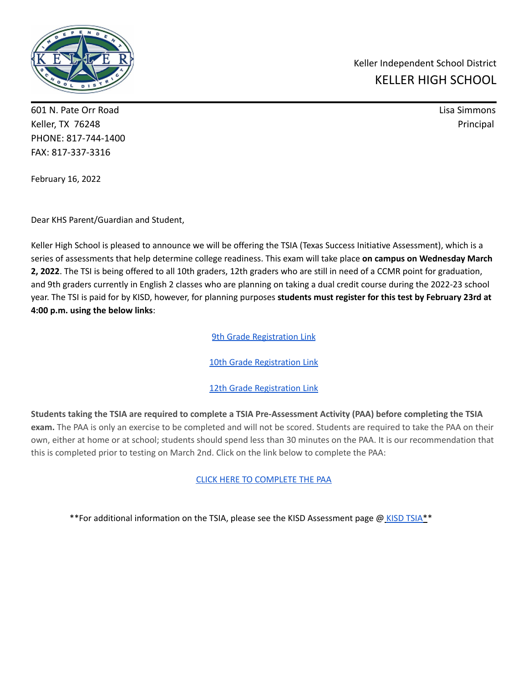

601 N. Pate Orr Road Lisa Simmons Keller, TX 76248 Principal PHONE: 817-744-1400 FAX: 817-337-3316

Keller Independent School District KELLER HIGH SCHOOL

February 16, 2022

Dear KHS Parent/Guardian and Student,

Keller High School is pleased to announce we will be offering the TSIA (Texas Success Initiative Assessment), which is a series of assessments that help determine college readiness. This exam will take place **on campus on Wednesday March 2, 2022**. The TSI is being offered to all 10th graders, 12th graders who are still in need of a CCMR point for graduation, and 9th graders currently in English 2 classes who are planning on taking a dual credit course during the 2022-23 school year. The TSI is paid for by KISD, however, for planning purposes **students must register for this test by February 23rd at 4:00 p.m. using the below links**:

**9th Grade Registration Link** 

10th Grade Registration Link

## 12th Grade Registration Link

Students taking the TSIA are required to complete a TSIA Pre-Assessment Activity (PAA) before completing the TSIA **exam.** The PAA is only an exercise to be completed and will not be scored. Students are required to take the PAA on their own, either at home or at school; students should spend less than 30 minutes on the PAA. It is our recommendation that this is completed prior to testing on March 2nd. Click on the link below to complete the PAA:

CLICK HERE TO COMPLETE THE PAA

\*\*For additional information on the TSIA, please see the KISD Assessment page @ KISD TSIA\*\*